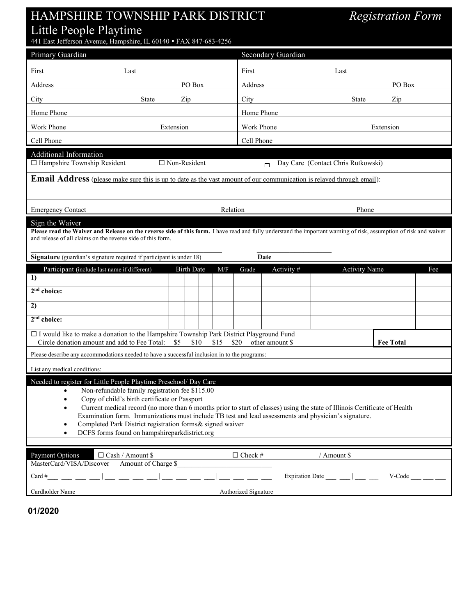## HAMPSHIRE TOWNSHIP PARK DISTRICT *Registration Form* Little People Playtime

441 East Jefferson Avenue, Hampshire, IL 60140 FAX 847-683-4256

| Primary Guardian                                                                                                                                                                                                                                                                                                                                                                                                                                                                                                                                                 |            |     |                      | Secondary Guardian                           |                                      |                      |          |  |  |
|------------------------------------------------------------------------------------------------------------------------------------------------------------------------------------------------------------------------------------------------------------------------------------------------------------------------------------------------------------------------------------------------------------------------------------------------------------------------------------------------------------------------------------------------------------------|------------|-----|----------------------|----------------------------------------------|--------------------------------------|----------------------|----------|--|--|
| First<br>Last                                                                                                                                                                                                                                                                                                                                                                                                                                                                                                                                                    |            |     | First                |                                              | Last                                 |                      |          |  |  |
| Address                                                                                                                                                                                                                                                                                                                                                                                                                                                                                                                                                          | PO Box     |     | Address              |                                              |                                      | PO Box               |          |  |  |
| City<br>State                                                                                                                                                                                                                                                                                                                                                                                                                                                                                                                                                    | Zip        |     | City                 |                                              | <b>State</b>                         | Zip                  |          |  |  |
| Home Phone                                                                                                                                                                                                                                                                                                                                                                                                                                                                                                                                                       |            |     | Home Phone           |                                              |                                      |                      |          |  |  |
| Work Phone                                                                                                                                                                                                                                                                                                                                                                                                                                                                                                                                                       | Extension  |     |                      | Work Phone<br>Extension                      |                                      |                      |          |  |  |
| Cell Phone                                                                                                                                                                                                                                                                                                                                                                                                                                                                                                                                                       |            |     |                      |                                              | Cell Phone                           |                      |          |  |  |
| Additional Information<br>□ Non-Resident<br>□ Hampshire Township Resident                                                                                                                                                                                                                                                                                                                                                                                                                                                                                        |            |     |                      | Day Care (Contact Chris Rutkowski)<br>$\Box$ |                                      |                      |          |  |  |
| Email Address (please make sure this is up to date as the vast amount of our communication is relayed through email):                                                                                                                                                                                                                                                                                                                                                                                                                                            |            |     |                      |                                              |                                      |                      |          |  |  |
|                                                                                                                                                                                                                                                                                                                                                                                                                                                                                                                                                                  |            |     |                      |                                              |                                      |                      |          |  |  |
| <b>Emergency Contact</b><br>Relation                                                                                                                                                                                                                                                                                                                                                                                                                                                                                                                             |            |     |                      | Phone                                        |                                      |                      |          |  |  |
| Sign the Waiver<br>Please read the Waiver and Release on the reverse side of this form. I have read and fully understand the important warning of risk, assumption of risk and waiver                                                                                                                                                                                                                                                                                                                                                                            |            |     |                      |                                              |                                      |                      |          |  |  |
| and release of all claims on the reverse side of this form.                                                                                                                                                                                                                                                                                                                                                                                                                                                                                                      |            |     |                      |                                              |                                      |                      |          |  |  |
| Signature (guardian's signature required if participant is under 18)<br>Date                                                                                                                                                                                                                                                                                                                                                                                                                                                                                     |            |     |                      |                                              |                                      |                      |          |  |  |
| Participant (include last name if different)                                                                                                                                                                                                                                                                                                                                                                                                                                                                                                                     | Birth Date | M/F | Grade                | Activity #                                   |                                      | <b>Activity Name</b> | Fee      |  |  |
| 1)                                                                                                                                                                                                                                                                                                                                                                                                                                                                                                                                                               |            |     |                      |                                              |                                      |                      |          |  |  |
| 2 <sup>nd</sup> choice:                                                                                                                                                                                                                                                                                                                                                                                                                                                                                                                                          |            |     |                      |                                              |                                      |                      |          |  |  |
| 2)<br>2 <sup>nd</sup> choice:                                                                                                                                                                                                                                                                                                                                                                                                                                                                                                                                    |            |     |                      |                                              |                                      |                      |          |  |  |
|                                                                                                                                                                                                                                                                                                                                                                                                                                                                                                                                                                  |            |     |                      |                                              |                                      |                      |          |  |  |
| $\square$ I would like to make a donation to the Hampshire Township Park District Playground Fund<br><b>Fee Total</b><br>Circle donation amount and add to Fee Total:<br>\$5<br>\$10<br>\$15<br>\$20<br>other amount \$                                                                                                                                                                                                                                                                                                                                          |            |     |                      |                                              |                                      |                      |          |  |  |
| Please describe any accommodations needed to have a successful inclusion in to the programs:                                                                                                                                                                                                                                                                                                                                                                                                                                                                     |            |     |                      |                                              |                                      |                      |          |  |  |
| List any medical conditions:                                                                                                                                                                                                                                                                                                                                                                                                                                                                                                                                     |            |     |                      |                                              |                                      |                      |          |  |  |
| Needed to register for Little People Playtime Preschool/ Day Care<br>Non-refundable family registration fee \$115.00<br>$\bullet$<br>Copy of child's birth certificate or Passport<br>Current medical record (no more than 6 months prior to start of classes) using the state of Illinois Certificate of Health<br>Examination form. Immunizations must include TB test and lead assessments and physician's signature.<br>Completed Park District registration forms& signed waiver<br>$\bullet$<br>DCFS forms found on hampshireparkdistrict.org<br>$\bullet$ |            |     |                      |                                              |                                      |                      |          |  |  |
| Payment Options<br>$\Box$ Cash / Amount \$                                                                                                                                                                                                                                                                                                                                                                                                                                                                                                                       |            |     | $\Box$ Check #       |                                              | / Amount \$                          |                      |          |  |  |
| Amount of Charge \$<br>MasterCard/VISA/Discover                                                                                                                                                                                                                                                                                                                                                                                                                                                                                                                  |            |     |                      |                                              |                                      |                      |          |  |  |
|                                                                                                                                                                                                                                                                                                                                                                                                                                                                                                                                                                  |            |     |                      |                                              | Expiration Date $\frac{1}{\sqrt{2}}$ |                      | V-Code v |  |  |
| Cardholder Name                                                                                                                                                                                                                                                                                                                                                                                                                                                                                                                                                  |            |     | Authorized Signature |                                              |                                      |                      |          |  |  |

**01/2020**